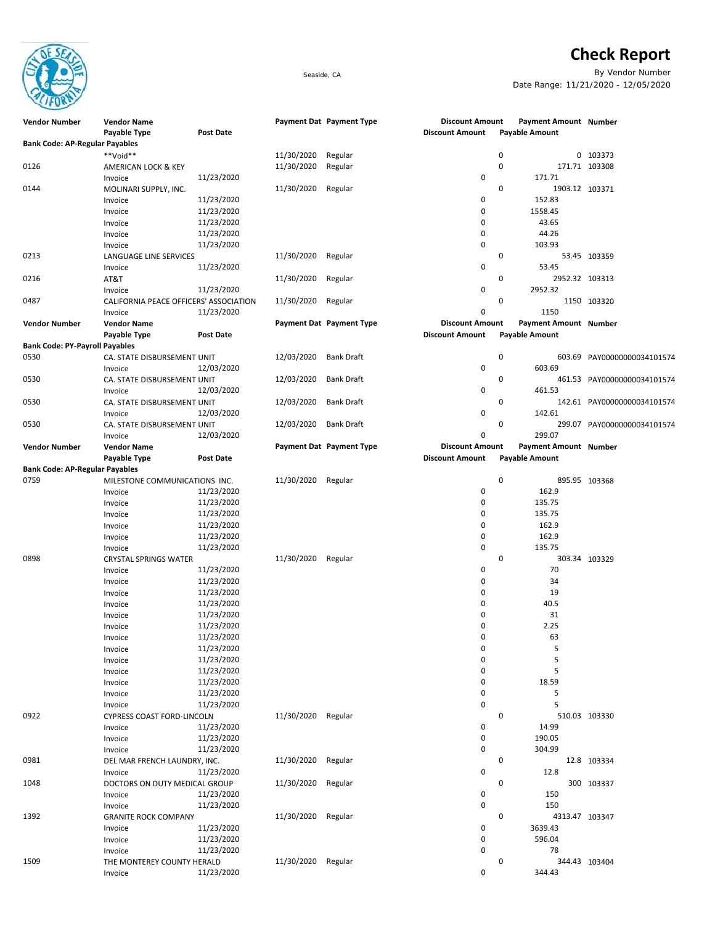

## **Check Report**

Seaside, CA By Vendor Number Date Range: 11/21/2020 - 12/05/2020

| <b>Vendor Number</b>                  | <b>Vendor Name</b>                     |            |            | Payment Dat Payment Type | <b>Discount Amount</b> | Payment Amount Number        |                             |
|---------------------------------------|----------------------------------------|------------|------------|--------------------------|------------------------|------------------------------|-----------------------------|
|                                       | Payable Type                           | Post Date  |            |                          | <b>Discount Amount</b> | <b>Payable Amount</b>        |                             |
| <b>Bank Code: AP-Regular Payables</b> |                                        |            |            |                          |                        |                              |                             |
|                                       | **Void**                               |            | 11/30/2020 | Regular                  |                        | 0                            | 0 103373                    |
| 0126                                  | AMERICAN LOCK & KEY                    |            | 11/30/2020 | Regular                  |                        | 0                            | 171.71 103308               |
|                                       | Invoice                                | 11/23/2020 |            |                          | 0                      | 171.71                       |                             |
| 0144                                  |                                        |            | 11/30/2020 | Regular                  |                        | 0                            | 1903.12 103371              |
|                                       | MOLINARI SUPPLY, INC.                  |            |            |                          |                        |                              |                             |
|                                       | Invoice                                | 11/23/2020 |            |                          | 0                      | 152.83                       |                             |
|                                       | Invoice                                | 11/23/2020 |            |                          | 0                      | 1558.45                      |                             |
|                                       | Invoice                                | 11/23/2020 |            |                          | 0                      | 43.65                        |                             |
|                                       | Invoice                                | 11/23/2020 |            |                          | 0                      | 44.26                        |                             |
|                                       | Invoice                                | 11/23/2020 |            |                          | 0                      | 103.93                       |                             |
| 0213                                  | LANGUAGE LINE SERVICES                 |            | 11/30/2020 | Regular                  |                        | 0                            | 53.45 103359                |
|                                       | Invoice                                | 11/23/2020 |            |                          | 0                      | 53.45                        |                             |
|                                       |                                        |            |            |                          |                        |                              |                             |
| 0216                                  | AT&T                                   |            | 11/30/2020 | Regular                  |                        | 0                            | 2952.32 103313              |
|                                       | Invoice                                | 11/23/2020 |            |                          | 0                      | 2952.32                      |                             |
| 0487                                  | CALIFORNIA PEACE OFFICERS' ASSOCIATION |            | 11/30/2020 | Regular                  |                        | 0                            | 1150 103320                 |
|                                       | Invoice                                | 11/23/2020 |            |                          | 0                      | 1150                         |                             |
| <b>Vendor Number</b>                  | <b>Vendor Name</b>                     |            |            | Payment Dat Payment Type | <b>Discount Amount</b> | <b>Payment Amount Number</b> |                             |
|                                       | Payable Type                           | Post Date  |            |                          | <b>Discount Amount</b> | <b>Payable Amount</b>        |                             |
| <b>Bank Code: PY-Payroll Payables</b> |                                        |            |            |                          |                        |                              |                             |
| 0530                                  |                                        |            | 12/03/2020 | Bank Draft               |                        | 0                            |                             |
|                                       | CA. STATE DISBURSEMENT UNIT            |            |            |                          |                        |                              | 603.69 PAY00000000034101574 |
|                                       | Invoice                                | 12/03/2020 |            |                          | 0                      | 603.69                       |                             |
| 0530                                  | CA. STATE DISBURSEMENT UNIT            |            | 12/03/2020 | Bank Draft               |                        | 0                            | 461.53 PAY00000000034101574 |
|                                       | Invoice                                | 12/03/2020 |            |                          | 0                      | 461.53                       |                             |
| 0530                                  | CA. STATE DISBURSEMENT UNIT            |            | 12/03/2020 | <b>Bank Draft</b>        |                        | 0                            | 142.61 PAY00000000034101574 |
|                                       | Invoice                                | 12/03/2020 |            |                          | 0                      | 142.61                       |                             |
| 0530                                  | CA. STATE DISBURSEMENT UNIT            |            | 12/03/2020 | <b>Bank Draft</b>        |                        | 0                            |                             |
|                                       |                                        |            |            |                          |                        |                              | 299.07 PAY00000000034101574 |
|                                       | Invoice                                | 12/03/2020 |            |                          | $\mathbf 0$            | 299.07                       |                             |
| <b>Vendor Number</b>                  | <b>Vendor Name</b>                     |            |            | Payment Dat Payment Type | <b>Discount Amount</b> | Payment Amount Number        |                             |
|                                       | Payable Type                           | Post Date  |            |                          | <b>Discount Amount</b> | <b>Payable Amount</b>        |                             |
| <b>Bank Code: AP-Regular Payables</b> |                                        |            |            |                          |                        |                              |                             |
| 0759                                  | MILESTONE COMMUNICATIONS INC.          |            | 11/30/2020 | Regular                  |                        | 0                            | 895.95 103368               |
|                                       | Invoice                                | 11/23/2020 |            |                          | 0                      | 162.9                        |                             |
|                                       |                                        |            |            |                          | 0                      |                              |                             |
|                                       | Invoice                                | 11/23/2020 |            |                          |                        | 135.75                       |                             |
|                                       | Invoice                                | 11/23/2020 |            |                          | 0                      | 135.75                       |                             |
|                                       | Invoice                                | 11/23/2020 |            |                          | 0                      | 162.9                        |                             |
|                                       | Invoice                                | 11/23/2020 |            |                          | 0                      | 162.9                        |                             |
|                                       | Invoice                                | 11/23/2020 |            |                          | 0                      | 135.75                       |                             |
| 0898                                  | <b>CRYSTAL SPRINGS WATER</b>           |            | 11/30/2020 | Regular                  |                        | 0                            | 303.34 103329               |
|                                       |                                        | 11/23/2020 |            |                          | 0                      | 70                           |                             |
|                                       | Invoice                                |            |            |                          |                        |                              |                             |
|                                       | Invoice                                | 11/23/2020 |            |                          | 0                      | 34                           |                             |
|                                       | Invoice                                | 11/23/2020 |            |                          | 0                      | 19                           |                             |
|                                       | Invoice                                | 11/23/2020 |            |                          | 0                      | 40.5                         |                             |
|                                       | Invoice                                | 11/23/2020 |            |                          | 0                      | 31                           |                             |
|                                       | Invoice                                | 11/23/2020 |            |                          | 0                      | 2.25                         |                             |
|                                       | Invoice                                | 11/23/2020 |            |                          | 0                      | 63                           |                             |
|                                       |                                        |            |            |                          |                        |                              |                             |
|                                       | Invoice                                | 11/23/2020 |            |                          | 0                      | 5                            |                             |
|                                       | Invoice                                | 11/23/2020 |            |                          | 0                      | 5                            |                             |
|                                       | Invoice                                | 11/23/2020 |            |                          | 0                      | 5                            |                             |
|                                       | Invoice                                | 11/23/2020 |            |                          | 0                      | 18.59                        |                             |
|                                       | Invoice                                | 11/23/2020 |            |                          | 0                      | 5                            |                             |
|                                       | Invoice                                | 11/23/2020 |            |                          | 0                      | 5                            |                             |
|                                       | <b>CYPRESS COAST FORD-LINCOLN</b>      |            |            |                          |                        | 0                            | 510.03 103330               |
| 0922                                  |                                        |            | 11/30/2020 | Regular                  |                        |                              |                             |
|                                       | Invoice                                | 11/23/2020 |            |                          | 0                      | 14.99                        |                             |
|                                       | Invoice                                | 11/23/2020 |            |                          | 0                      | 190.05                       |                             |
|                                       | Invoice                                | 11/23/2020 |            |                          | 0                      | 304.99                       |                             |
| 0981                                  | DEL MAR FRENCH LAUNDRY, INC.           |            | 11/30/2020 | Regular                  |                        | 0                            | 12.8 103334                 |
|                                       | Invoice                                | 11/23/2020 |            |                          | 0                      | 12.8                         |                             |
| 1048                                  |                                        |            | 11/30/2020 |                          |                        | 0                            | 300 103337                  |
|                                       | DOCTORS ON DUTY MEDICAL GROUP          |            |            | Regular                  |                        |                              |                             |
|                                       | Invoice                                | 11/23/2020 |            |                          | 0                      | 150                          |                             |
|                                       | Invoice                                | 11/23/2020 |            |                          | 0                      | 150                          |                             |
| 1392                                  | <b>GRANITE ROCK COMPANY</b>            |            | 11/30/2020 | Regular                  |                        | 0                            | 4313.47 103347              |
|                                       | Invoice                                | 11/23/2020 |            |                          | 0                      | 3639.43                      |                             |
|                                       | Invoice                                | 11/23/2020 |            |                          | 0                      | 596.04                       |                             |
|                                       | Invoice                                | 11/23/2020 |            |                          | 0                      | 78                           |                             |
|                                       |                                        |            |            |                          |                        |                              |                             |
| 1509                                  | THE MONTEREY COUNTY HERALD             |            | 11/30/2020 | Regular                  |                        | 0                            | 344.43 103404               |
|                                       | Invoice                                | 11/23/2020 |            |                          | 0                      | 344.43                       |                             |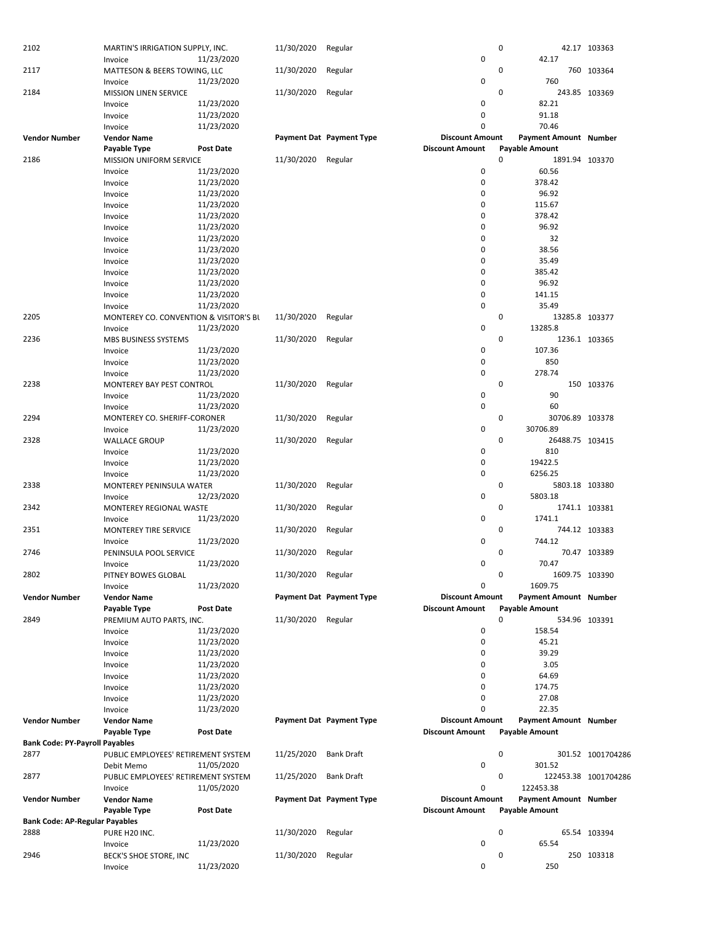| 2102                                  | MARTIN'S IRRIGATION SUPPLY, INC.       |                          | 11/30/2020 | Regular                  |                        | 0           |                       | 42.17 103363         |
|---------------------------------------|----------------------------------------|--------------------------|------------|--------------------------|------------------------|-------------|-----------------------|----------------------|
|                                       | Invoice                                | 11/23/2020               |            |                          | 0                      |             | 42.17                 |                      |
| 2117                                  | MATTESON & BEERS TOWING, LLC           |                          | 11/30/2020 | Regular                  |                        | $\mathbf 0$ |                       | 760 103364           |
|                                       | Invoice                                | 11/23/2020               |            |                          | 0                      |             | 760                   |                      |
| 2184                                  | <b>MISSION LINEN SERVICE</b>           |                          | 11/30/2020 | Regular                  |                        | $\mathbf 0$ |                       | 243.85 103369        |
|                                       | Invoice                                | 11/23/2020               |            |                          | 0                      |             | 82.21                 |                      |
|                                       | Invoice                                | 11/23/2020               |            |                          | 0                      |             | 91.18                 |                      |
|                                       | Invoice                                | 11/23/2020               |            |                          | 0                      |             | 70.46                 |                      |
| <b>Vendor Number</b>                  | <b>Vendor Name</b>                     |                          |            | Payment Dat Payment Type | <b>Discount Amount</b> |             | Payment Amount Number |                      |
|                                       | Payable Type                           | <b>Post Date</b>         |            |                          | <b>Discount Amount</b> |             | <b>Payable Amount</b> |                      |
| 2186                                  | MISSION UNIFORM SERVICE                |                          | 11/30/2020 | Regular                  |                        | $\mathbf 0$ | 1891.94 103370        |                      |
|                                       | Invoice                                | 11/23/2020               |            |                          | 0                      |             | 60.56                 |                      |
|                                       | Invoice                                | 11/23/2020               |            |                          | 0                      |             | 378.42                |                      |
|                                       | Invoice                                | 11/23/2020               |            |                          | 0                      |             | 96.92                 |                      |
|                                       |                                        |                          |            |                          | 0                      |             | 115.67                |                      |
|                                       | Invoice                                | 11/23/2020               |            |                          |                        |             |                       |                      |
|                                       | Invoice                                | 11/23/2020               |            |                          | 0                      |             | 378.42                |                      |
|                                       | Invoice                                | 11/23/2020               |            |                          | 0                      |             | 96.92                 |                      |
|                                       | Invoice                                | 11/23/2020               |            |                          | 0                      |             | 32                    |                      |
|                                       | Invoice                                | 11/23/2020               |            |                          | 0                      |             | 38.56                 |                      |
|                                       | Invoice                                | 11/23/2020               |            |                          | 0                      |             | 35.49                 |                      |
|                                       | Invoice                                | 11/23/2020               |            |                          | 0                      |             | 385.42                |                      |
|                                       | Invoice                                | 11/23/2020               |            |                          | 0                      |             | 96.92                 |                      |
|                                       | Invoice                                | 11/23/2020               |            |                          | 0                      |             | 141.15                |                      |
|                                       | Invoice                                | 11/23/2020               |            |                          | 0                      |             | 35.49                 |                      |
| 2205                                  | MONTEREY CO. CONVENTION & VISITOR'S BL |                          | 11/30/2020 | Regular                  |                        | $\mathbf 0$ | 13285.8 103377        |                      |
|                                       | Invoice                                | 11/23/2020               |            |                          | 0                      |             | 13285.8               |                      |
| 2236                                  | MBS BUSINESS SYSTEMS                   |                          | 11/30/2020 | Regular                  |                        | 0           |                       | 1236.1 103365        |
|                                       | Invoice                                | 11/23/2020               |            |                          | 0                      |             | 107.36                |                      |
|                                       |                                        | 11/23/2020               |            |                          | 0                      |             | 850                   |                      |
|                                       | Invoice                                |                          |            |                          | 0                      |             |                       |                      |
|                                       | Invoice                                | 11/23/2020               |            |                          |                        |             | 278.74                |                      |
| 2238                                  | MONTEREY BAY PEST CONTROL              |                          | 11/30/2020 | Regular                  |                        | $\mathbf 0$ |                       | 150 103376           |
|                                       | Invoice                                | 11/23/2020               |            |                          | 0                      |             | 90                    |                      |
|                                       | Invoice                                | 11/23/2020               |            |                          | 0                      |             | 60                    |                      |
| 2294                                  | MONTEREY CO. SHERIFF-CORONER           |                          | 11/30/2020 | Regular                  |                        | 0           | 30706.89 103378       |                      |
|                                       | Invoice                                | 11/23/2020               |            |                          | 0                      |             | 30706.89              |                      |
| 2328                                  | <b>WALLACE GROUP</b>                   |                          | 11/30/2020 | Regular                  |                        | 0           | 26488.75 103415       |                      |
|                                       | Invoice                                | 11/23/2020               |            |                          | 0                      |             | 810                   |                      |
|                                       | Invoice                                | 11/23/2020               |            |                          | 0                      |             | 19422.5               |                      |
|                                       | Invoice                                | 11/23/2020               |            |                          | 0                      |             | 6256.25               |                      |
| 2338                                  | MONTEREY PENINSULA WATER               |                          | 11/30/2020 | Regular                  |                        | 0           | 5803.18 103380        |                      |
|                                       | Invoice                                | 12/23/2020               |            |                          | 0                      |             | 5803.18               |                      |
| 2342                                  | MONTEREY REGIONAL WASTE                |                          | 11/30/2020 | Regular                  |                        | 0           |                       | 1741.1 103381        |
|                                       | Invoice                                | 11/23/2020               |            |                          | 0                      |             | 1741.1                |                      |
| 2351                                  | MONTEREY TIRE SERVICE                  |                          | 11/30/2020 | Regular                  |                        | 0           |                       | 744.12 103383        |
|                                       |                                        |                          |            |                          | 0                      |             | 744.12                |                      |
|                                       | Invoice                                | 11/23/2020               |            |                          |                        |             |                       |                      |
| 2746                                  | PENINSULA POOL SERVICE                 |                          | 11/30/2020 | Regular                  |                        | 0           |                       | 70.47 103389         |
|                                       | Invoice                                | 11/23/2020               |            |                          | $\mathbf 0$            |             | 70.47                 |                      |
| 2802                                  | PITNEY BOWES GLOBAL                    |                          | 11/30/2020 | Regular                  |                        | 0           | 1609.75 103390        |                      |
|                                       | Invoice                                | 11/23/2020               |            |                          | 0                      |             | 1609.75               |                      |
| <b>Vendor Number</b>                  | <b>Vendor Name</b>                     |                          |            | Payment Dat Payment Type | <b>Discount Amount</b> |             | Payment Amount Number |                      |
|                                       | Payable Type                           | <b>Post Date</b>         |            |                          | <b>Discount Amount</b> |             | <b>Payable Amount</b> |                      |
| 2849                                  | PREMIUM AUTO PARTS, INC.               |                          | 11/30/2020 | Regular                  |                        | 0           |                       | 534.96 103391        |
|                                       | Invoice                                | 11/23/2020               |            |                          | 0                      |             | 158.54                |                      |
|                                       | Invoice                                | 11/23/2020               |            |                          | 0                      |             | 45.21                 |                      |
|                                       | Invoice                                | 11/23/2020               |            |                          | 0                      |             | 39.29                 |                      |
|                                       | Invoice                                | 11/23/2020               |            |                          | 0                      |             | 3.05                  |                      |
|                                       | Invoice                                | 11/23/2020               |            |                          | 0                      |             | 64.69                 |                      |
|                                       |                                        |                          |            |                          | 0                      |             | 174.75                |                      |
|                                       | Invoice                                | 11/23/2020<br>11/23/2020 |            |                          | 0                      |             | 27.08                 |                      |
|                                       | Invoice                                |                          |            |                          | 0                      |             | 22.35                 |                      |
|                                       | Invoice                                | 11/23/2020               |            |                          |                        |             |                       |                      |
| <b>Vendor Number</b>                  | <b>Vendor Name</b>                     |                          |            | Payment Dat Payment Type | <b>Discount Amount</b> |             | Payment Amount Number |                      |
|                                       | Payable Type                           | <b>Post Date</b>         |            |                          | <b>Discount Amount</b> |             | <b>Payable Amount</b> |                      |
| <b>Bank Code: PY-Payroll Payables</b> |                                        |                          |            |                          |                        |             |                       |                      |
| 2877                                  | PUBLIC EMPLOYEES' RETIREMENT SYSTEM    |                          | 11/25/2020 | <b>Bank Draft</b>        |                        | 0           |                       | 301.52 1001704286    |
|                                       | Debit Memo                             | 11/05/2020               |            |                          | 0                      |             | 301.52                |                      |
| 2877                                  | PUBLIC EMPLOYEES' RETIREMENT SYSTEM    |                          | 11/25/2020 | <b>Bank Draft</b>        |                        | 0           |                       | 122453.38 1001704286 |
|                                       | Invoice                                | 11/05/2020               |            |                          | 0                      |             | 122453.38             |                      |
| <b>Vendor Number</b>                  | <b>Vendor Name</b>                     |                          |            | Payment Dat Payment Type | <b>Discount Amount</b> |             | Payment Amount Number |                      |
|                                       | Payable Type                           | <b>Post Date</b>         |            |                          | <b>Discount Amount</b> |             | <b>Payable Amount</b> |                      |
| <b>Bank Code: AP-Regular Payables</b> |                                        |                          |            |                          |                        |             |                       |                      |
| 2888                                  | PURE H20 INC.                          |                          | 11/30/2020 | Regular                  |                        | 0           |                       | 65.54 103394         |
|                                       | Invoice                                | 11/23/2020               |            |                          | 0                      |             | 65.54                 |                      |
| 2946                                  | BECK'S SHOE STORE, INC                 |                          | 11/30/2020 | Regular                  |                        | 0           |                       | 250 103318           |
|                                       |                                        |                          |            |                          | 0                      |             | 250                   |                      |
|                                       | Invoice                                | 11/23/2020               |            |                          |                        |             |                       |                      |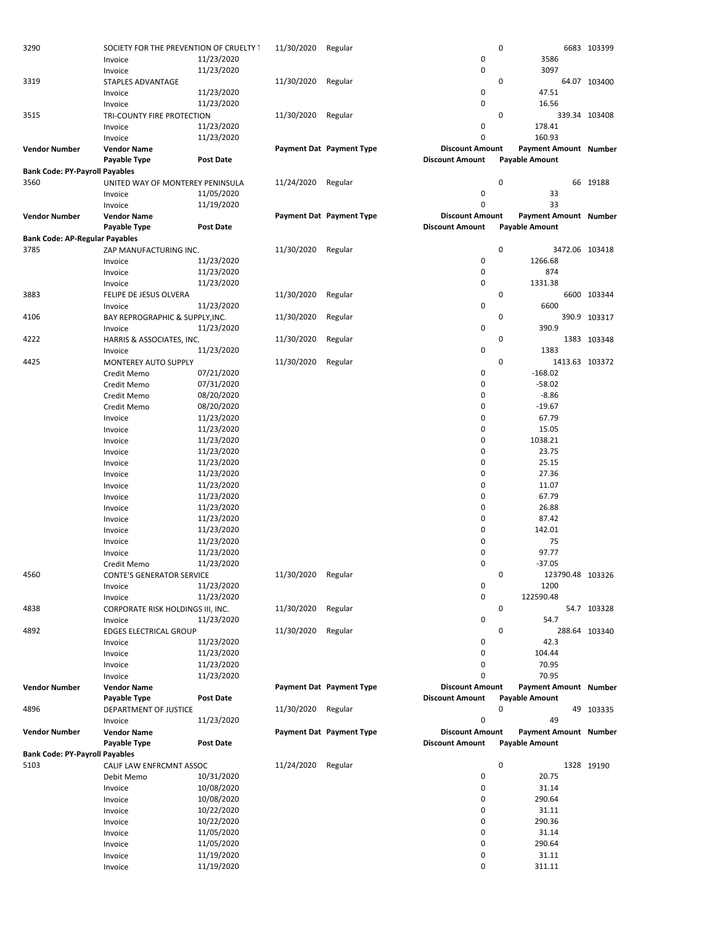| 3290                                  | SOCIETY FOR THE PREVENTION OF CRUELTY I |                  | 11/30/2020 | Regular                  |                        | 0                     |                  | 6683 103399                  |
|---------------------------------------|-----------------------------------------|------------------|------------|--------------------------|------------------------|-----------------------|------------------|------------------------------|
|                                       | Invoice                                 | 11/23/2020       |            |                          | 0                      |                       | 3586             |                              |
|                                       | Invoice                                 | 11/23/2020       |            |                          | 0                      |                       | 3097             |                              |
| 3319                                  | STAPLES ADVANTAGE                       |                  | 11/30/2020 | Regular                  |                        | 0                     |                  | 64.07 103400                 |
|                                       | Invoice                                 | 11/23/2020       |            |                          | 0                      | 47.51                 |                  |                              |
|                                       | Invoice                                 | 11/23/2020       |            |                          | 0                      |                       | 16.56            |                              |
| 3515                                  | TRI-COUNTY FIRE PROTECTION              |                  | 11/30/2020 | Regular                  |                        | 0                     |                  | 339.34 103408                |
|                                       | Invoice                                 | 11/23/2020       |            |                          | 0                      | 178.41                |                  |                              |
|                                       | Invoice                                 | 11/23/2020       |            |                          | $\Omega$               | 160.93                |                  |                              |
| <b>Vendor Number</b>                  | <b>Vendor Name</b>                      |                  |            | Payment Dat Payment Type | <b>Discount Amount</b> |                       |                  | Payment Amount Number        |
|                                       | Payable Type                            | <b>Post Date</b> |            |                          | <b>Discount Amount</b> | <b>Payable Amount</b> |                  |                              |
| <b>Bank Code: PY-Payroll Payables</b> |                                         |                  |            |                          |                        |                       |                  |                              |
| 3560                                  | UNITED WAY OF MONTEREY PENINSULA        |                  | 11/24/2020 | Regular                  |                        | 0                     |                  | 66 19188                     |
|                                       | Invoice                                 | 11/05/2020       |            |                          | 0                      |                       | 33               |                              |
|                                       | Invoice                                 | 11/19/2020       |            |                          | 0                      |                       | 33               |                              |
| <b>Vendor Number</b>                  | <b>Vendor Name</b>                      |                  |            | Payment Dat Payment Type | <b>Discount Amount</b> |                       |                  | <b>Payment Amount Number</b> |
|                                       | Payable Type                            | <b>Post Date</b> |            |                          | <b>Discount Amount</b> | <b>Payable Amount</b> |                  |                              |
| <b>Bank Code: AP-Regular Payables</b> |                                         |                  |            |                          |                        |                       |                  |                              |
| 3785                                  | ZAP MANUFACTURING INC.                  |                  | 11/30/2020 | Regular                  |                        | 0                     |                  | 3472.06 103418               |
|                                       | Invoice                                 | 11/23/2020       |            |                          | 0                      | 1266.68               |                  |                              |
|                                       | Invoice                                 | 11/23/2020       |            |                          | 0                      |                       | 874              |                              |
|                                       | Invoice                                 | 11/23/2020       |            |                          | 0                      | 1331.38               |                  |                              |
| 3883                                  |                                         |                  | 11/30/2020 | Regular                  |                        | 0                     |                  | 6600 103344                  |
|                                       | FELIPE DE JESUS OLVERA                  |                  |            |                          | 0                      |                       | 6600             |                              |
|                                       | Invoice                                 | 11/23/2020       |            |                          |                        |                       |                  |                              |
| 4106                                  | BAY REPROGRAPHIC & SUPPLY, INC.         |                  | 11/30/2020 | Regular                  |                        | 0                     |                  | 390.9 103317                 |
|                                       | Invoice                                 | 11/23/2020       |            |                          | 0                      | 390.9                 |                  |                              |
| 4222                                  | HARRIS & ASSOCIATES, INC.               |                  | 11/30/2020 | Regular                  |                        | 0                     |                  | 1383 103348                  |
|                                       | Invoice                                 | 11/23/2020       |            |                          | 0                      |                       | 1383             |                              |
| 4425                                  | <b>MONTEREY AUTO SUPPLY</b>             |                  | 11/30/2020 | Regular                  |                        | 0                     |                  | 1413.63 103372               |
|                                       | Credit Memo                             | 07/21/2020       |            |                          | 0                      | $-168.02$             |                  |                              |
|                                       | Credit Memo                             | 07/31/2020       |            |                          | 0                      | $-58.02$              |                  |                              |
|                                       | Credit Memo                             | 08/20/2020       |            |                          | 0                      |                       | $-8.86$          |                              |
|                                       | Credit Memo                             | 08/20/2020       |            |                          | 0                      | $-19.67$              |                  |                              |
|                                       | Invoice                                 | 11/23/2020       |            |                          | 0                      |                       | 67.79            |                              |
|                                       | Invoice                                 | 11/23/2020       |            |                          | 0                      |                       | 15.05            |                              |
|                                       | Invoice                                 | 11/23/2020       |            |                          | 0                      | 1038.21               |                  |                              |
|                                       | Invoice                                 | 11/23/2020       |            |                          | 0                      |                       | 23.75            |                              |
|                                       | Invoice                                 | 11/23/2020       |            |                          | 0                      |                       | 25.15            |                              |
|                                       | Invoice                                 | 11/23/2020       |            |                          | 0                      |                       | 27.36            |                              |
|                                       | Invoice                                 | 11/23/2020       |            |                          | 0                      |                       | 11.07            |                              |
|                                       | Invoice                                 | 11/23/2020       |            |                          | 0                      |                       | 67.79            |                              |
|                                       | Invoice                                 | 11/23/2020       |            |                          | 0                      |                       | 26.88            |                              |
|                                       | Invoice                                 | 11/23/2020       |            |                          | 0                      |                       | 87.42            |                              |
|                                       | Invoice                                 | 11/23/2020       |            |                          | 0                      | 142.01                |                  |                              |
|                                       | Invoice                                 | 11/23/2020       |            |                          | 0                      |                       | 75               |                              |
|                                       |                                         | 11/23/2020       |            |                          | 0                      |                       | 97.77            |                              |
|                                       | Invoice                                 | 11/23/2020       |            |                          | 0                      | $-37.05$              |                  |                              |
|                                       | Credit Memo                             |                  |            |                          |                        |                       |                  |                              |
| 4560                                  | <b>CONTE'S GENERATOR SERVICE</b>        |                  | 11/30/2020 | Regular                  |                        | 0                     | 123790.48 103326 |                              |
|                                       | Invoice                                 | 11/23/2020       |            |                          | 0                      |                       | 1200             |                              |
|                                       | Invoice                                 | 11/23/2020       |            |                          | 0                      | 122590.48             |                  |                              |
| 4838                                  | CORPORATE RISK HOLDINGS III, INC.       |                  | 11/30/2020 | Regular                  |                        | 0                     |                  | 54.7 103328                  |
|                                       | Invoice                                 | 11/23/2020       |            |                          | 0                      |                       | 54.7             |                              |
| 4892                                  | <b>EDGES ELECTRICAL GROUP</b>           |                  | 11/30/2020 | Regular                  |                        | 0                     |                  | 288.64 103340                |
|                                       | Invoice                                 | 11/23/2020       |            |                          | 0                      |                       | 42.3             |                              |
|                                       | Invoice                                 | 11/23/2020       |            |                          | 0                      | 104.44                |                  |                              |
|                                       | Invoice                                 | 11/23/2020       |            |                          | 0                      |                       | 70.95            |                              |
|                                       | Invoice                                 | 11/23/2020       |            |                          | 0                      |                       | 70.95            |                              |
| <b>Vendor Number</b>                  | <b>Vendor Name</b>                      |                  |            | Payment Dat Payment Type | <b>Discount Amount</b> |                       |                  | <b>Payment Amount Number</b> |
|                                       | Payable Type                            | <b>Post Date</b> |            |                          | <b>Discount Amount</b> | <b>Payable Amount</b> |                  |                              |
| 4896                                  | DEPARTMENT OF JUSTICE                   |                  | 11/30/2020 | Regular                  |                        | 0                     |                  | 49 103335                    |
|                                       | Invoice                                 | 11/23/2020       |            |                          | 0                      |                       | 49               |                              |
| <b>Vendor Number</b>                  | <b>Vendor Name</b>                      |                  |            | Payment Dat Payment Type | <b>Discount Amount</b> |                       |                  | <b>Payment Amount Number</b> |
|                                       | Payable Type                            | <b>Post Date</b> |            |                          | <b>Discount Amount</b> | <b>Payable Amount</b> |                  |                              |
| <b>Bank Code: PY-Payroll Payables</b> |                                         |                  |            |                          |                        |                       |                  |                              |
| 5103                                  | CALIF LAW ENFRCMNT ASSOC                |                  | 11/24/2020 | Regular                  |                        | 0                     |                  | 1328 19190                   |
|                                       | Debit Memo                              | 10/31/2020       |            |                          | 0                      |                       | 20.75            |                              |
|                                       | Invoice                                 | 10/08/2020       |            |                          | 0                      |                       | 31.14            |                              |
|                                       | Invoice                                 | 10/08/2020       |            |                          | 0                      | 290.64                |                  |                              |
|                                       | Invoice                                 | 10/22/2020       |            |                          | 0                      | 31.11                 |                  |                              |
|                                       | Invoice                                 | 10/22/2020       |            |                          | 0                      | 290.36                |                  |                              |
|                                       |                                         |                  |            |                          | 0                      |                       | 31.14            |                              |
|                                       | Invoice                                 | 11/05/2020       |            |                          | 0                      | 290.64                |                  |                              |
|                                       | Invoice                                 | 11/05/2020       |            |                          |                        |                       |                  |                              |
|                                       | Invoice                                 | 11/19/2020       |            |                          | 0                      |                       | 31.11            |                              |
|                                       | Invoice                                 | 11/19/2020       |            |                          | 0                      | 311.11                |                  |                              |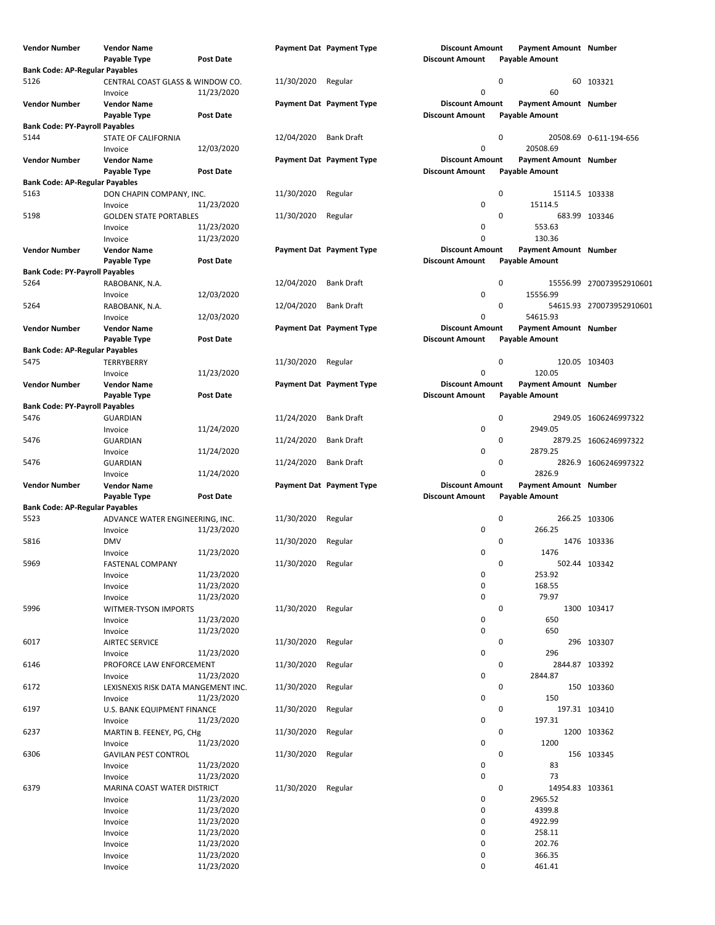| Vendor Number                                 | Vendor Name                                 |                          |            | Payment Dat Payment Type | <b>Discount Amount</b>                           |   | Payment Amount Number                                 |                          |
|-----------------------------------------------|---------------------------------------------|--------------------------|------------|--------------------------|--------------------------------------------------|---|-------------------------------------------------------|--------------------------|
|                                               | Payable Type                                | <b>Post Date</b>         |            |                          | <b>Discount Amount</b>                           |   | <b>Payable Amount</b>                                 |                          |
| <b>Bank Code: AP-Regular Payables</b><br>5126 |                                             |                          | 11/30/2020 |                          |                                                  | 0 |                                                       | 60 103321                |
|                                               | CENTRAL COAST GLASS & WINDOW CO.<br>Invoice | 11/23/2020               |            | Regular                  | $\mathbf 0$                                      |   | 60                                                    |                          |
| <b>Vendor Number</b>                          | <b>Vendor Name</b><br>Payable Type          | <b>Post Date</b>         |            | Payment Dat Payment Type | <b>Discount Amount</b><br><b>Discount Amount</b> |   | <b>Payment Amount Number</b><br><b>Payable Amount</b> |                          |
| <b>Bank Code: PY-Payroll Payables</b>         |                                             |                          |            |                          |                                                  |   |                                                       |                          |
| 5144                                          | STATE OF CALIFORNIA<br>Invoice              | 12/03/2020               | 12/04/2020 | <b>Bank Draft</b>        | $\mathbf 0$                                      | 0 | 20508.69                                              | 20508.69  0-611-194-656  |
| <b>Vendor Number</b>                          | <b>Vendor Name</b>                          |                          |            | Payment Dat Payment Type | <b>Discount Amount</b>                           |   | Payment Amount Number                                 |                          |
|                                               | Payable Type                                | <b>Post Date</b>         |            |                          | <b>Discount Amount</b>                           |   | <b>Payable Amount</b>                                 |                          |
| <b>Bank Code: AP-Regular Payables</b><br>5163 |                                             |                          |            |                          |                                                  | 0 |                                                       |                          |
|                                               | DON CHAPIN COMPANY, INC.<br>Invoice         | 11/23/2020               | 11/30/2020 | Regular                  | 0                                                |   | 15114.5 103338<br>15114.5                             |                          |
| 5198                                          | <b>GOLDEN STATE PORTABLES</b>               |                          | 11/30/2020 | Regular                  |                                                  | 0 | 683.99 103346                                         |                          |
|                                               | Invoice                                     | 11/23/2020               |            |                          | 0                                                |   | 553.63                                                |                          |
|                                               | Invoice                                     | 11/23/2020               |            |                          | $\mathbf 0$                                      |   | 130.36                                                |                          |
| <b>Vendor Number</b>                          | Vendor Name                                 |                          |            | Payment Dat Payment Type | <b>Discount Amount</b>                           |   | Payment Amount Number                                 |                          |
|                                               | Payable Type                                | <b>Post Date</b>         |            |                          | <b>Discount Amount</b>                           |   | <b>Payable Amount</b>                                 |                          |
| <b>Bank Code: PY-Payroll Payables</b>         |                                             |                          |            |                          |                                                  |   |                                                       |                          |
| 5264                                          | RABOBANK, N.A.                              |                          | 12/04/2020 | <b>Bank Draft</b>        |                                                  | 0 |                                                       | 15556.99 270073952910601 |
|                                               | Invoice                                     | 12/03/2020               |            |                          | $\mathbf 0$                                      |   | 15556.99                                              |                          |
| 5264                                          | RABOBANK, N.A.                              |                          | 12/04/2020 | <b>Bank Draft</b>        |                                                  | 0 |                                                       | 54615.93 270073952910601 |
| <b>Vendor Number</b>                          | Invoice                                     | 12/03/2020               |            |                          | $\mathbf 0$<br><b>Discount Amount</b>            |   | 54615.93<br>Payment Amount Number                     |                          |
|                                               | <b>Vendor Name</b><br>Payable Type          | <b>Post Date</b>         |            | Payment Dat Payment Type | <b>Discount Amount</b>                           |   | <b>Payable Amount</b>                                 |                          |
| <b>Bank Code: AP-Regular Payables</b>         |                                             |                          |            |                          |                                                  |   |                                                       |                          |
| 5475                                          | TERRYBERRY                                  |                          | 11/30/2020 | Regular                  |                                                  | 0 | 120.05 103403                                         |                          |
|                                               | Invoice                                     | 11/23/2020               |            |                          | $\mathbf 0$                                      |   | 120.05                                                |                          |
| <b>Vendor Number</b>                          | <b>Vendor Name</b>                          |                          |            | Payment Dat Payment Type | <b>Discount Amount</b>                           |   | Payment Amount Number                                 |                          |
|                                               | Payable Type                                | <b>Post Date</b>         |            |                          | <b>Discount Amount</b>                           |   | <b>Payable Amount</b>                                 |                          |
| <b>Bank Code: PY-Payroll Payables</b>         |                                             |                          |            |                          |                                                  |   |                                                       |                          |
| 5476                                          | <b>GUARDIAN</b>                             |                          | 11/24/2020 | <b>Bank Draft</b>        |                                                  | 0 |                                                       | 2949.05 1606246997322    |
|                                               | Invoice                                     | 11/24/2020               |            |                          | 0                                                |   | 2949.05                                               |                          |
| 5476                                          | <b>GUARDIAN</b>                             |                          | 11/24/2020 | <b>Bank Draft</b>        |                                                  | 0 |                                                       | 2879.25 1606246997322    |
| 5476                                          | Invoice                                     | 11/24/2020               |            | <b>Bank Draft</b>        | 0                                                | 0 | 2879.25                                               |                          |
|                                               | <b>GUARDIAN</b>                             | 11/24/2020               | 11/24/2020 |                          | $\mathbf 0$                                      |   | 2826.9                                                | 2826.9 1606246997322     |
| <b>Vendor Number</b>                          | Invoice<br>Vendor Name                      |                          |            | Payment Dat Payment Type | <b>Discount Amount</b>                           |   | <b>Payment Amount Number</b>                          |                          |
|                                               | Payable Type                                | <b>Post Date</b>         |            |                          | <b>Discount Amount</b>                           |   | <b>Payable Amount</b>                                 |                          |
| <b>Bank Code: AP-Regular Payables</b>         |                                             |                          |            |                          |                                                  |   |                                                       |                          |
| 5523                                          | ADVANCE WATER ENGINEERING, INC.             |                          | 11/30/2020 | Regular                  |                                                  | 0 | 266.25 103306                                         |                          |
|                                               | Invoice                                     | 11/23/2020               |            |                          | 0                                                |   | 266.25                                                |                          |
| 5816                                          | <b>DMV</b>                                  |                          | 11/30/2020 | Regular                  |                                                  | 0 |                                                       | 1476 103336              |
|                                               | Invoice                                     | 11/23/2020               |            |                          | 0                                                |   | 1476                                                  |                          |
| 5969                                          | <b>FASTENAL COMPANY</b>                     |                          | 11/30/2020 | Regular                  |                                                  | 0 | 502.44 103342                                         |                          |
|                                               | Invoice                                     | 11/23/2020               |            |                          | $\pmb{0}$                                        |   | 253.92                                                |                          |
|                                               | Invoice                                     | 11/23/2020               |            |                          | $\pmb{0}$                                        |   | 168.55                                                |                          |
|                                               | Invoice                                     | 11/23/2020               |            |                          | $\mathbf 0$                                      |   | 79.97                                                 |                          |
| 5996                                          | WITMER-TYSON IMPORTS                        |                          | 11/30/2020 | Regular                  |                                                  | 0 |                                                       | 1300 103417              |
|                                               | Invoice                                     | 11/23/2020<br>11/23/2020 |            |                          | 0<br>$\pmb{0}$                                   |   | 650<br>650                                            |                          |
| 6017                                          | Invoice<br><b>AIRTEC SERVICE</b>            |                          | 11/30/2020 | Regular                  |                                                  | 0 |                                                       | 296 103307               |
|                                               | Invoice                                     | 11/23/2020               |            |                          | 0                                                |   | 296                                                   |                          |
| 6146                                          | PROFORCE LAW ENFORCEMENT                    |                          | 11/30/2020 | Regular                  |                                                  | 0 | 2844.87 103392                                        |                          |
|                                               | Invoice                                     | 11/23/2020               |            |                          | 0                                                |   | 2844.87                                               |                          |
| 6172                                          | LEXISNEXIS RISK DATA MANGEMENT INC.         |                          | 11/30/2020 | Regular                  |                                                  | 0 |                                                       | 150 103360               |
|                                               | Invoice                                     | 11/23/2020               |            |                          | 0                                                |   | 150                                                   |                          |
| 6197                                          | U.S. BANK EQUIPMENT FINANCE                 |                          | 11/30/2020 | Regular                  |                                                  | 0 | 197.31 103410                                         |                          |
|                                               | Invoice                                     | 11/23/2020               |            |                          | $\pmb{0}$                                        |   | 197.31                                                |                          |
| 6237                                          | MARTIN B. FEENEY, PG, CHg                   |                          | 11/30/2020 | Regular                  |                                                  | 0 |                                                       | 1200 103362              |
|                                               | Invoice                                     | 11/23/2020               |            |                          | $\pmb{0}$                                        |   | 1200                                                  |                          |
| 6306                                          | <b>GAVILAN PEST CONTROL</b>                 |                          | 11/30/2020 | Regular                  |                                                  | 0 |                                                       | 156 103345               |
|                                               | Invoice                                     | 11/23/2020               |            |                          | 0                                                |   | 83                                                    |                          |
|                                               | Invoice                                     | 11/23/2020               |            |                          | $\mathbf 0$                                      |   | 73                                                    |                          |
| 6379                                          | MARINA COAST WATER DISTRICT                 | 11/23/2020               | 11/30/2020 | Regular                  | $\mathbf 0$                                      | 0 | 14954.83 103361<br>2965.52                            |                          |
|                                               | Invoice                                     | 11/23/2020               |            |                          | $\mathbf 0$                                      |   | 4399.8                                                |                          |
|                                               | Invoice<br>Invoice                          | 11/23/2020               |            |                          | 0                                                |   | 4922.99                                               |                          |
|                                               | Invoice                                     | 11/23/2020               |            |                          | 0                                                |   | 258.11                                                |                          |
|                                               | Invoice                                     | 11/23/2020               |            |                          | 0                                                |   | 202.76                                                |                          |
|                                               | Invoice                                     | 11/23/2020               |            |                          | 0                                                |   | 366.35                                                |                          |
|                                               | Invoice                                     | 11/23/2020               |            |                          | 0                                                |   | 461.41                                                |                          |
|                                               |                                             |                          |            |                          |                                                  |   |                                                       |                          |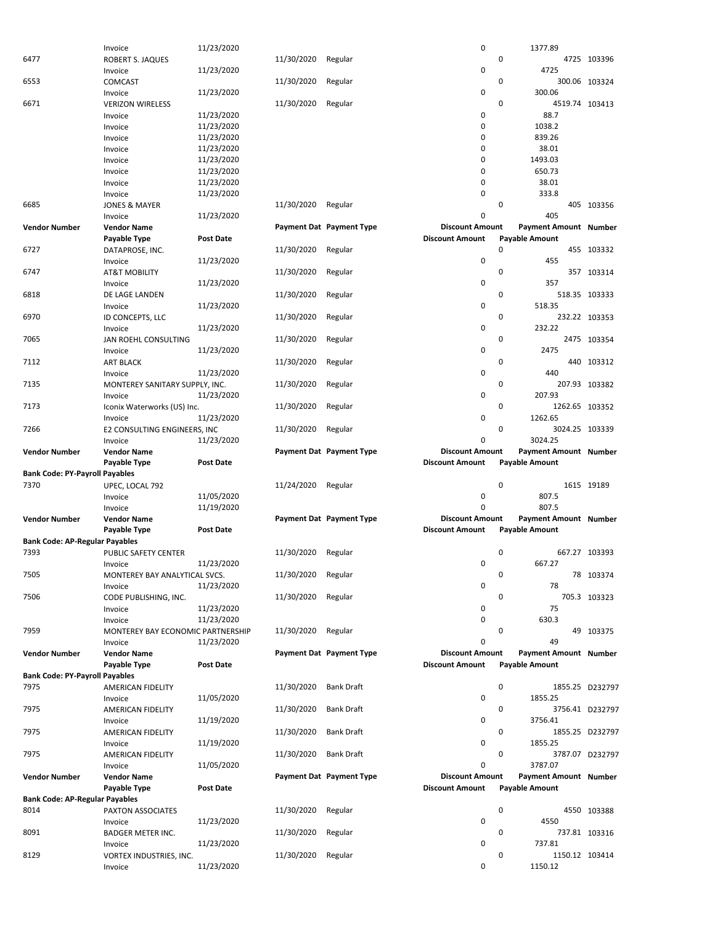|                                       | Invoice                           | 11/23/2020       |            |                          | 0                      | 1377.89                      |                 |
|---------------------------------------|-----------------------------------|------------------|------------|--------------------------|------------------------|------------------------------|-----------------|
| 6477                                  | ROBERT S. JAQUES                  |                  | 11/30/2020 | Regular                  |                        | 0                            | 4725 103396     |
|                                       |                                   |                  |            |                          |                        |                              |                 |
|                                       | Invoice                           | 11/23/2020       |            |                          | $\mathbf 0$            | 4725                         |                 |
| 6553                                  | <b>COMCAST</b>                    |                  | 11/30/2020 | Regular                  |                        | 0                            | 300.06 103324   |
|                                       | Invoice                           | 11/23/2020       |            |                          | $\mathbf 0$            | 300.06                       |                 |
| 6671                                  | <b>VERIZON WIRELESS</b>           |                  | 11/30/2020 | Regular                  |                        | 0                            | 4519.74 103413  |
|                                       | Invoice                           | 11/23/2020       |            |                          | $\mathbf 0$            | 88.7                         |                 |
|                                       |                                   |                  |            |                          |                        |                              |                 |
|                                       | Invoice                           | 11/23/2020       |            |                          | $\mathbf 0$            | 1038.2                       |                 |
|                                       | Invoice                           | 11/23/2020       |            |                          | $\mathbf 0$            | 839.26                       |                 |
|                                       | Invoice                           | 11/23/2020       |            |                          | 0                      | 38.01                        |                 |
|                                       | Invoice                           | 11/23/2020       |            |                          | 0                      | 1493.03                      |                 |
|                                       |                                   |                  |            |                          |                        |                              |                 |
|                                       | Invoice                           | 11/23/2020       |            |                          | $\mathbf 0$            | 650.73                       |                 |
|                                       | Invoice                           | 11/23/2020       |            |                          | $\mathbf 0$            | 38.01                        |                 |
|                                       | Invoice                           | 11/23/2020       |            |                          | $\mathbf 0$            | 333.8                        |                 |
| 6685                                  | <b>JONES &amp; MAYER</b>          |                  | 11/30/2020 | Regular                  |                        | 0                            | 405 103356      |
|                                       |                                   |                  |            |                          |                        |                              |                 |
|                                       | Invoice                           | 11/23/2020       |            |                          | 0                      | 405                          |                 |
| <b>Vendor Number</b>                  | Vendor Name                       |                  |            | Payment Dat Payment Type | <b>Discount Amount</b> | <b>Payment Amount Number</b> |                 |
|                                       | Payable Type                      | <b>Post Date</b> |            |                          | <b>Discount Amount</b> | <b>Payable Amount</b>        |                 |
| 6727                                  | DATAPROSE, INC.                   |                  | 11/30/2020 | Regular                  |                        | 0                            | 455 103332      |
|                                       |                                   |                  |            |                          |                        |                              |                 |
|                                       | Invoice                           | 11/23/2020       |            |                          | $\mathbf 0$            | 455                          |                 |
| 6747                                  | <b>AT&amp;T MOBILITY</b>          |                  | 11/30/2020 | Regular                  |                        | 0                            | 357 103314      |
|                                       | Invoice                           | 11/23/2020       |            |                          | $\mathbf 0$            | 357                          |                 |
| 6818                                  | DE LAGE LANDEN                    |                  | 11/30/2020 | Regular                  |                        | 0                            | 518.35 103333   |
|                                       |                                   |                  |            |                          |                        |                              |                 |
|                                       | Invoice                           | 11/23/2020       |            |                          | $\mathbf 0$            | 518.35                       |                 |
| 6970                                  | ID CONCEPTS, LLC                  |                  | 11/30/2020 | Regular                  |                        | 0                            | 232.22 103353   |
|                                       | Invoice                           | 11/23/2020       |            |                          | $\mathbf 0$            | 232.22                       |                 |
| 7065                                  | JAN ROEHL CONSULTING              |                  | 11/30/2020 | Regular                  |                        | 0                            | 2475 103354     |
|                                       |                                   |                  |            |                          |                        |                              |                 |
|                                       | Invoice                           | 11/23/2020       |            |                          | $\mathbf 0$            | 2475                         |                 |
| 7112                                  | <b>ART BLACK</b>                  |                  | 11/30/2020 | Regular                  |                        | 0                            | 440 103312      |
|                                       | Invoice                           | 11/23/2020       |            |                          | $\mathbf 0$            | 440                          |                 |
| 7135                                  | MONTEREY SANITARY SUPPLY, INC.    |                  | 11/30/2020 | Regular                  |                        | 0                            | 207.93 103382   |
|                                       |                                   |                  |            |                          |                        |                              |                 |
|                                       | Invoice                           | 11/23/2020       |            |                          | $\mathbf 0$            | 207.93                       |                 |
| 7173                                  | Iconix Waterworks (US) Inc.       |                  | 11/30/2020 | Regular                  |                        | 0                            | 1262.65 103352  |
|                                       | Invoice                           | 11/23/2020       |            |                          | $\mathbf 0$            | 1262.65                      |                 |
| 7266                                  | E2 CONSULTING ENGINEERS, INC      |                  | 11/30/2020 | Regular                  |                        | 0                            | 3024.25 103339  |
|                                       |                                   |                  |            |                          |                        |                              |                 |
|                                       | Invoice                           | 11/23/2020       |            |                          | 0                      | 3024.25                      |                 |
|                                       |                                   |                  |            |                          |                        |                              |                 |
| <b>Vendor Number</b>                  | <b>Vendor Name</b>                |                  |            | Payment Dat Payment Type | <b>Discount Amount</b> | Payment Amount Number        |                 |
|                                       |                                   |                  |            |                          |                        |                              |                 |
|                                       | Payable Type                      | <b>Post Date</b> |            |                          | <b>Discount Amount</b> | <b>Payable Amount</b>        |                 |
| <b>Bank Code: PY-Payroll Payables</b> |                                   |                  |            |                          |                        |                              |                 |
| 7370                                  | UPEC, LOCAL 792                   |                  | 11/24/2020 | Regular                  |                        | 0                            | 1615 19189      |
|                                       | Invoice                           | 11/05/2020       |            |                          | $\mathbf 0$            | 807.5                        |                 |
|                                       | Invoice                           |                  |            |                          | $\Omega$               | 807.5                        |                 |
|                                       |                                   | 11/19/2020       |            |                          |                        |                              |                 |
| <b>Vendor Number</b>                  | Vendor Name                       |                  |            | Payment Dat Payment Type | <b>Discount Amount</b> | Payment Amount Number        |                 |
|                                       | Payable Type                      | <b>Post Date</b> |            |                          | <b>Discount Amount</b> | <b>Payable Amount</b>        |                 |
| <b>Bank Code: AP-Regular Payables</b> |                                   |                  |            |                          |                        |                              |                 |
| 7393                                  | <b>PUBLIC SAFETY CENTER</b>       |                  |            |                          |                        | 0                            | 667.27 103393   |
|                                       |                                   |                  | 11/30/2020 | Regular                  |                        |                              |                 |
|                                       | Invoice                           | 11/23/2020       |            |                          | $\mathbf 0$            | 667.27                       |                 |
| 7505                                  | MONTEREY BAY ANALYTICAL SVCS.     |                  | 11/30/2020 | Regular                  |                        | 0                            | 78 103374       |
|                                       | Invoice                           | 11/23/2020       |            |                          | $\mathbf 0$            | 78                           |                 |
| 7506                                  |                                   |                  | 11/30/2020 | Regular                  |                        | 0                            | 705.3 103323    |
|                                       | CODE PUBLISHING, INC.             |                  |            |                          |                        |                              |                 |
|                                       | Invoice                           | 11/23/2020       |            |                          | $\mathbf 0$            | 75                           |                 |
|                                       | Invoice                           | 11/23/2020       |            |                          | $\mathbf 0$            | 630.3                        |                 |
| 7959                                  | MONTEREY BAY ECONOMIC PARTNERSHIP |                  | 11/30/2020 | Regular                  |                        | 0                            | 49 103375       |
|                                       | Invoice                           | 11/23/2020       |            |                          | $\Omega$               | 49                           |                 |
|                                       |                                   |                  |            |                          | <b>Discount Amount</b> |                              |                 |
| <b>Vendor Number</b>                  | <b>Vendor Name</b>                |                  |            | Payment Dat Payment Type |                        | <b>Payment Amount Number</b> |                 |
|                                       | Payable Type                      | Post Date        |            |                          | <b>Discount Amount</b> | <b>Payable Amount</b>        |                 |
| <b>Bank Code: PY-Payroll Payables</b> |                                   |                  |            |                          |                        |                              |                 |
| 7975                                  | AMERICAN FIDELITY                 |                  | 11/30/2020 | <b>Bank Draft</b>        |                        | $\mathbf 0$                  | 1855.25 D232797 |
|                                       |                                   |                  |            |                          |                        |                              |                 |
|                                       | Invoice                           | 11/05/2020       |            |                          | 0                      | 1855.25                      |                 |
| 7975                                  | AMERICAN FIDELITY                 |                  | 11/30/2020 | <b>Bank Draft</b>        |                        | 0                            | 3756.41 D232797 |
|                                       | Invoice                           | 11/19/2020       |            |                          | $\mathbf 0$            | 3756.41                      |                 |
| 7975                                  | AMERICAN FIDELITY                 |                  | 11/30/2020 | <b>Bank Draft</b>        |                        | 0                            | 1855.25 D232797 |
|                                       |                                   |                  |            |                          |                        |                              |                 |
|                                       | Invoice                           | 11/19/2020       |            |                          | $\mathbf 0$            | 1855.25                      |                 |
| 7975                                  | AMERICAN FIDELITY                 |                  | 11/30/2020 | <b>Bank Draft</b>        |                        | 0                            | 3787.07 D232797 |
|                                       | Invoice                           | 11/05/2020       |            |                          | $\mathbf 0$            | 3787.07                      |                 |
| <b>Vendor Number</b>                  | <b>Vendor Name</b>                |                  |            | Payment Dat Payment Type | <b>Discount Amount</b> | Payment Amount Number        |                 |
|                                       |                                   | <b>Post Date</b> |            |                          | <b>Discount Amount</b> |                              |                 |
|                                       | Payable Type                      |                  |            |                          |                        | <b>Payable Amount</b>        |                 |
| <b>Bank Code: AP-Regular Payables</b> |                                   |                  |            |                          |                        |                              |                 |
| 8014                                  | PAXTON ASSOCIATES                 |                  | 11/30/2020 | Regular                  |                        | 0                            | 4550 103388     |
|                                       | Invoice                           | 11/23/2020       |            |                          | $\mathbf 0$            | 4550                         |                 |
| 8091                                  |                                   |                  |            |                          |                        | 0                            |                 |
|                                       | <b>BADGER METER INC.</b>          |                  | 11/30/2020 | Regular                  |                        |                              | 737.81 103316   |
|                                       | Invoice                           | 11/23/2020       |            |                          | $\mathbf 0$            | 737.81                       |                 |
| 8129                                  | VORTEX INDUSTRIES, INC.           |                  | 11/30/2020 | Regular                  |                        | 0                            | 1150.12 103414  |
|                                       | Invoice                           | 11/23/2020       |            |                          | 0                      | 1150.12                      |                 |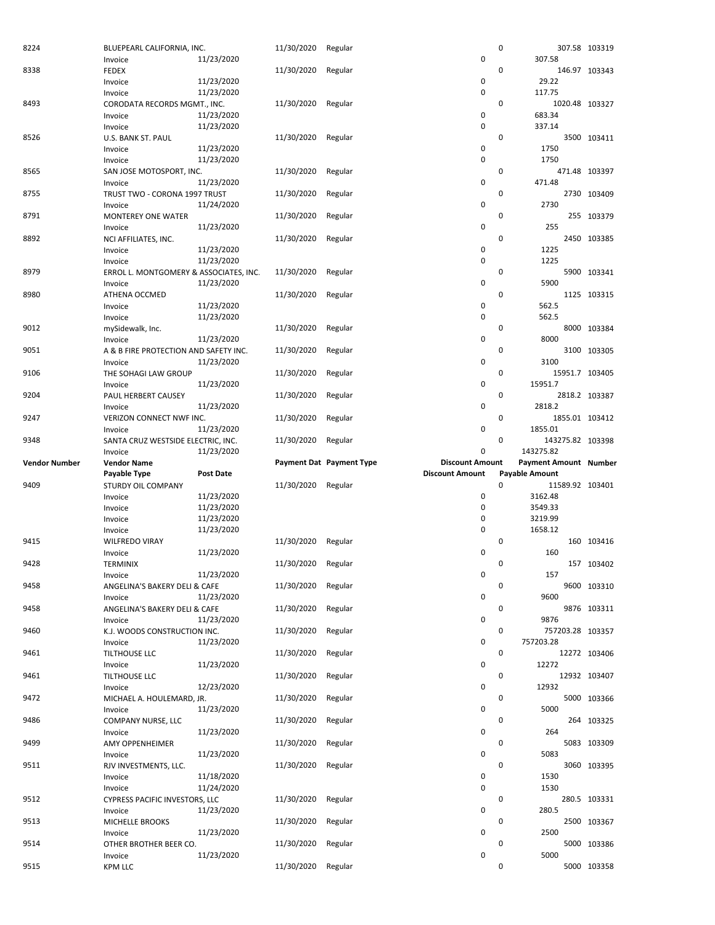| 8224                 | BLUEPEARL CALIFORNIA, INC.              | 11/30/2020         | Regular                  | 0                                                      | 307.58 103319 |
|----------------------|-----------------------------------------|--------------------|--------------------------|--------------------------------------------------------|---------------|
|                      | 11/23/2020<br>Invoice                   |                    |                          | $\pmb{0}$<br>307.58                                    |               |
| 8338                 | <b>FEDEX</b>                            | 11/30/2020         | Regular                  | 0                                                      | 146.97 103343 |
|                      | 11/23/2020<br>Invoice                   |                    |                          | 0<br>29.22                                             |               |
|                      | 11/23/2020<br>Invoice                   |                    |                          | 0<br>117.75                                            |               |
| 8493                 | CORODATA RECORDS MGMT., INC.            | 11/30/2020         | Regular                  | 0<br>1020.48 103327                                    |               |
|                      | 11/23/2020<br>Invoice                   |                    |                          | 0<br>683.34                                            |               |
|                      | 11/23/2020<br>Invoice                   |                    |                          | $\mathbf 0$<br>337.14                                  |               |
| 8526                 | U.S. BANK ST. PAUL                      | 11/30/2020         | Regular                  | 0                                                      | 3500 103411   |
|                      | 11/23/2020<br>Invoice                   |                    |                          | 0<br>1750                                              |               |
|                      | 11/23/2020<br>Invoice                   |                    |                          | 0<br>1750                                              |               |
| 8565                 | SAN JOSE MOTOSPORT, INC.                | 11/30/2020         | Regular                  | 0                                                      | 471.48 103397 |
|                      | 11/23/2020<br>Invoice                   |                    |                          | $\pmb{0}$<br>471.48                                    |               |
| 8755                 |                                         | 11/30/2020         | Regular                  | 0                                                      | 2730 103409   |
|                      | TRUST TWO - CORONA 1997 TRUST           |                    |                          | 0<br>2730                                              |               |
|                      | 11/24/2020<br>Invoice                   |                    |                          |                                                        |               |
| 8791                 | <b>MONTEREY ONE WATER</b>               | 11/30/2020         | Regular                  | 0                                                      | 255 103379    |
|                      | 11/23/2020<br>Invoice                   |                    |                          | 0<br>255                                               |               |
| 8892                 | NCI AFFILIATES, INC.                    | 11/30/2020         | Regular                  | 0                                                      | 2450 103385   |
|                      | 11/23/2020<br>Invoice                   |                    |                          | 0<br>1225                                              |               |
|                      | 11/23/2020<br>Invoice                   |                    |                          | 0<br>1225                                              |               |
| 8979                 | ERROL L. MONTGOMERY & ASSOCIATES, INC.  | 11/30/2020         | Regular                  | 0                                                      | 5900 103341   |
|                      | 11/23/2020<br>Invoice                   |                    |                          | 0<br>5900                                              |               |
| 8980                 | ATHENA OCCMED                           | 11/30/2020         | Regular                  | 0                                                      | 1125 103315   |
|                      | 11/23/2020<br>Invoice                   |                    |                          | 0<br>562.5                                             |               |
|                      | 11/23/2020<br>Invoice                   |                    |                          | 0<br>562.5                                             |               |
| 9012                 | mySidewalk, Inc.                        | 11/30/2020         | Regular                  | 0                                                      | 8000 103384   |
|                      | 11/23/2020<br>Invoice                   |                    |                          | 0<br>8000                                              |               |
| 9051                 | A & B FIRE PROTECTION AND SAFETY INC.   | 11/30/2020         | Regular                  | 0                                                      | 3100 103305   |
|                      | 11/23/2020<br>Invoice                   |                    |                          | $\pmb{0}$<br>3100                                      |               |
| 9106                 | THE SOHAGI LAW GROUP                    | 11/30/2020         | Regular                  | 0<br>15951.7 103405                                    |               |
|                      | 11/23/2020<br>Invoice                   |                    |                          | 0<br>15951.7                                           |               |
| 9204                 | PAUL HERBERT CAUSEY                     | 11/30/2020         | Regular                  | 0                                                      | 2818.2 103387 |
|                      | 11/23/2020<br>Invoice                   |                    |                          | $\pmb{0}$<br>2818.2                                    |               |
| 9247                 | VERIZON CONNECT NWF INC.                | 11/30/2020         | Regular                  | 0<br>1855.01 103412                                    |               |
|                      | 11/23/2020<br>Invoice                   |                    |                          | 0<br>1855.01                                           |               |
| 9348                 | SANTA CRUZ WESTSIDE ELECTRIC, INC.      | 11/30/2020         | Regular                  | 0<br>143275.82 103398                                  |               |
|                      | 11/23/2020<br>Invoice                   |                    |                          | 0<br>143275.82                                         |               |
|                      |                                         |                    |                          |                                                        |               |
|                      |                                         |                    |                          |                                                        |               |
| <b>Vendor Number</b> | <b>Vendor Name</b>                      |                    | Payment Dat Payment Type | <b>Discount Amount</b><br><b>Payment Amount Number</b> |               |
|                      | Payable Type<br><b>Post Date</b>        |                    |                          | <b>Discount Amount</b><br><b>Payable Amount</b>        |               |
| 9409                 | <b>STURDY OIL COMPANY</b>               | 11/30/2020 Regular |                          | $\mathbf 0$<br>11589.92 103401                         |               |
|                      | 11/23/2020<br>Invoice                   |                    |                          | 0<br>3162.48                                           |               |
|                      | 11/23/2020<br>Invoice                   |                    |                          | 0<br>3549.33                                           |               |
|                      | 11/23/2020<br>Invoice                   |                    |                          | $\pmb{0}$<br>3219.99                                   |               |
|                      | 11/23/2020<br>Invoice                   |                    |                          | 0<br>1658.12                                           |               |
| 9415                 | <b>WILFREDO VIRAY</b>                   | 11/30/2020         | Regular                  | 0                                                      | 160 103416    |
|                      | 11/23/2020<br>Invoice                   |                    |                          | 0<br>160                                               |               |
| 9428                 | TERMINIX                                | 11/30/2020         | Regular                  | 0                                                      | 157 103402    |
|                      | 11/23/2020<br>Invoice                   |                    |                          | $\pmb{0}$<br>157                                       |               |
| 9458                 | ANGELINA'S BAKERY DELI & CAFE           | 11/30/2020         | Regular                  | 0                                                      | 9600 103310   |
|                      | 11/23/2020<br>Invoice                   |                    |                          | 0<br>9600                                              |               |
| 9458                 | ANGELINA'S BAKERY DELI & CAFE           | 11/30/2020         | Regular                  | 0                                                      | 9876 103311   |
|                      | 11/23/2020<br>Invoice                   |                    |                          | 0<br>9876                                              |               |
| 9460                 | K.J. WOODS CONSTRUCTION INC.            | 11/30/2020         | Regular                  | 0<br>757203.28 103357                                  |               |
|                      | 11/23/2020<br>Invoice                   |                    |                          | 0<br>757203.28                                         |               |
| 9461                 | TILTHOUSE LLC                           | 11/30/2020         | Regular                  | 0                                                      |               |
|                      | 11/23/2020<br>Invoice                   |                    |                          | 0<br>12272                                             | 12272 103406  |
|                      |                                         |                    |                          | 0                                                      |               |
| 9461                 | TILTHOUSE LLC                           | 11/30/2020         | Regular                  |                                                        | 12932 103407  |
|                      | 12/23/2020<br>Invoice                   |                    |                          | 0<br>12932                                             |               |
| 9472                 | MICHAEL A. HOULEMARD, JR.               | 11/30/2020         | Regular                  | 0                                                      | 5000 103366   |
|                      | 11/23/2020<br>Invoice                   |                    |                          | 0<br>5000                                              |               |
| 9486                 | COMPANY NURSE, LLC                      | 11/30/2020         | Regular                  | 0                                                      | 264 103325    |
|                      | 11/23/2020<br>Invoice                   |                    |                          | 0<br>264                                               |               |
| 9499                 | AMY OPPENHEIMER                         | 11/30/2020         | Regular                  | 0                                                      | 5083 103309   |
|                      | 11/23/2020<br>Invoice                   |                    |                          | 0<br>5083                                              |               |
| 9511                 | RJV INVESTMENTS, LLC.                   | 11/30/2020 Regular |                          | 0                                                      | 3060 103395   |
|                      | 11/18/2020<br>Invoice                   |                    |                          | 1530<br>0                                              |               |
|                      | 11/24/2020<br>Invoice                   |                    |                          | 0<br>1530                                              |               |
| 9512                 | CYPRESS PACIFIC INVESTORS, LLC          | 11/30/2020         | Regular                  | 0                                                      | 280.5 103331  |
|                      | 11/23/2020<br>Invoice                   |                    |                          | 0<br>280.5                                             |               |
| 9513                 | MICHELLE BROOKS                         | 11/30/2020         | Regular                  | 0                                                      | 2500 103367   |
|                      | 11/23/2020<br>Invoice                   |                    |                          | 0<br>2500                                              |               |
| 9514                 | OTHER BROTHER BEER CO.                  | 11/30/2020         | Regular                  | 0                                                      | 5000 103386   |
| 9515                 | 11/23/2020<br>Invoice<br><b>KPM LLC</b> | 11/30/2020 Regular |                          | 0<br>5000<br>0                                         | 5000 103358   |